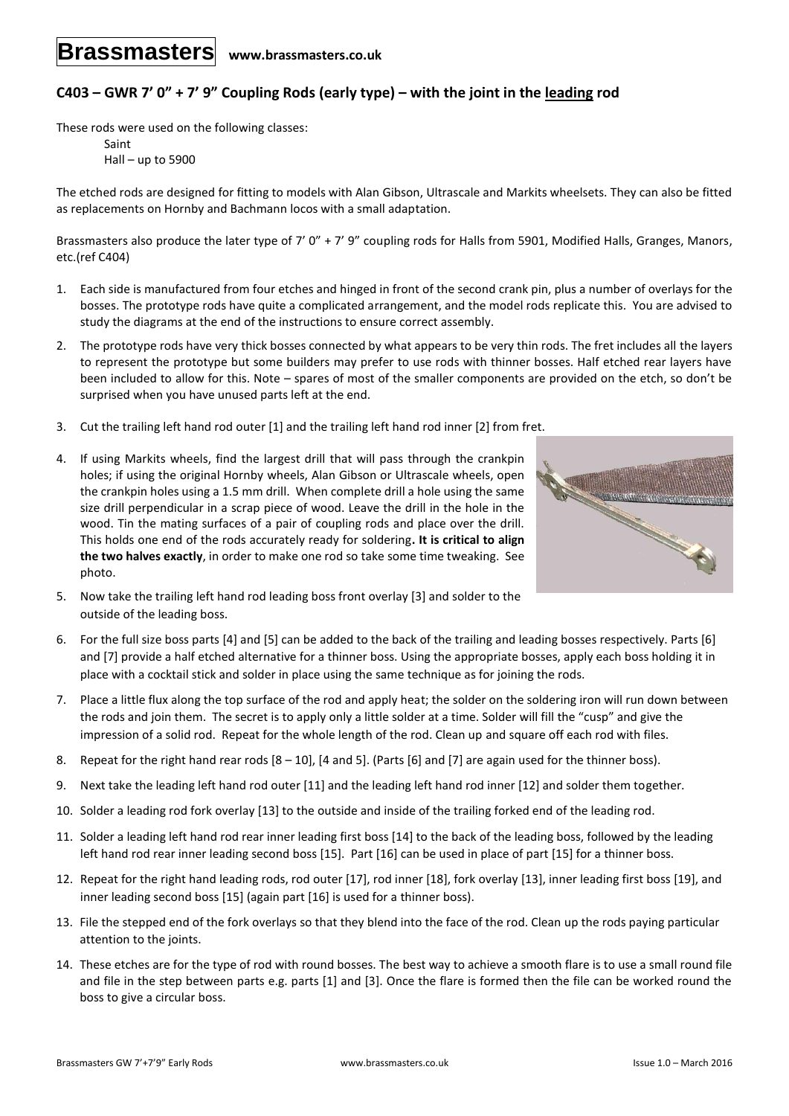## **C403 – GWR 7' 0" + 7' 9" Coupling Rods (early type) – with the joint in the leading rod**

These rods were used on the following classes:

Saint Hall – up to 5900

The etched rods are designed for fitting to models with Alan Gibson, Ultrascale and Markits wheelsets. They can also be fitted as replacements on Hornby and Bachmann locos with a small adaptation.

Brassmasters also produce the later type of 7' 0" + 7' 9" coupling rods for Halls from 5901, Modified Halls, Granges, Manors, etc.(ref C404)

- 1. Each side is manufactured from four etches and hinged in front of the second crank pin, plus a number of overlays for the bosses. The prototype rods have quite a complicated arrangement, and the model rods replicate this. You are advised to study the diagrams at the end of the instructions to ensure correct assembly.
- 2. The prototype rods have very thick bosses connected by what appears to be very thin rods. The fret includes all the layers to represent the prototype but some builders may prefer to use rods with thinner bosses. Half etched rear layers have been included to allow for this. Note – spares of most of the smaller components are provided on the etch, so don't be surprised when you have unused parts left at the end.
- 3. Cut the trailing left hand rod outer [1] and the trailing left hand rod inner [2] from fret.
- 4. If using Markits wheels, find the largest drill that will pass through the crankpin holes; if using the original Hornby wheels, Alan Gibson or Ultrascale wheels, open the crankpin holes using a 1.5 mm drill. When complete drill a hole using the same size drill perpendicular in a scrap piece of wood. Leave the drill in the hole in the wood. Tin the mating surfaces of a pair of coupling rods and place over the drill. This holds one end of the rods accurately ready for soldering**. It is critical to align the two halves exactly**, in order to make one rod so take some time tweaking. See photo.



- 5. Now take the trailing left hand rod leading boss front overlay [3] and solder to the outside of the leading boss.
- 6. For the full size boss parts [4] and [5] can be added to the back of the trailing and leading bosses respectively. Parts [6] and [7] provide a half etched alternative for a thinner boss. Using the appropriate bosses, apply each boss holding it in place with a cocktail stick and solder in place using the same technique as for joining the rods.
- 7. Place a little flux along the top surface of the rod and apply heat; the solder on the soldering iron will run down between the rods and join them. The secret is to apply only a little solder at a time. Solder will fill the "cusp" and give the impression of a solid rod. Repeat for the whole length of the rod. Clean up and square off each rod with files.
- 8. Repeat for the right hand rear rods  $[8 10]$ ,  $[4$  and  $5]$ . (Parts  $[6]$  and  $[7]$  are again used for the thinner boss).
- 9. Next take the leading left hand rod outer [11] and the leading left hand rod inner [12] and solder them together.
- 10. Solder a leading rod fork overlay [13] to the outside and inside of the trailing forked end of the leading rod.
- 11. Solder a leading left hand rod rear inner leading first boss [14] to the back of the leading boss, followed by the leading left hand rod rear inner leading second boss [15]. Part [16] can be used in place of part [15] for a thinner boss.
- 12. Repeat for the right hand leading rods, rod outer [17], rod inner [18], fork overlay [13], inner leading first boss [19], and inner leading second boss [15] (again part [16] is used for a thinner boss).
- 13. File the stepped end of the fork overlays so that they blend into the face of the rod. Clean up the rods paying particular attention to the joints.
- 14. These etches are for the type of rod with round bosses. The best way to achieve a smooth flare is to use a small round file and file in the step between parts e.g. parts [1] and [3]. Once the flare is formed then the file can be worked round the boss to give a circular boss.